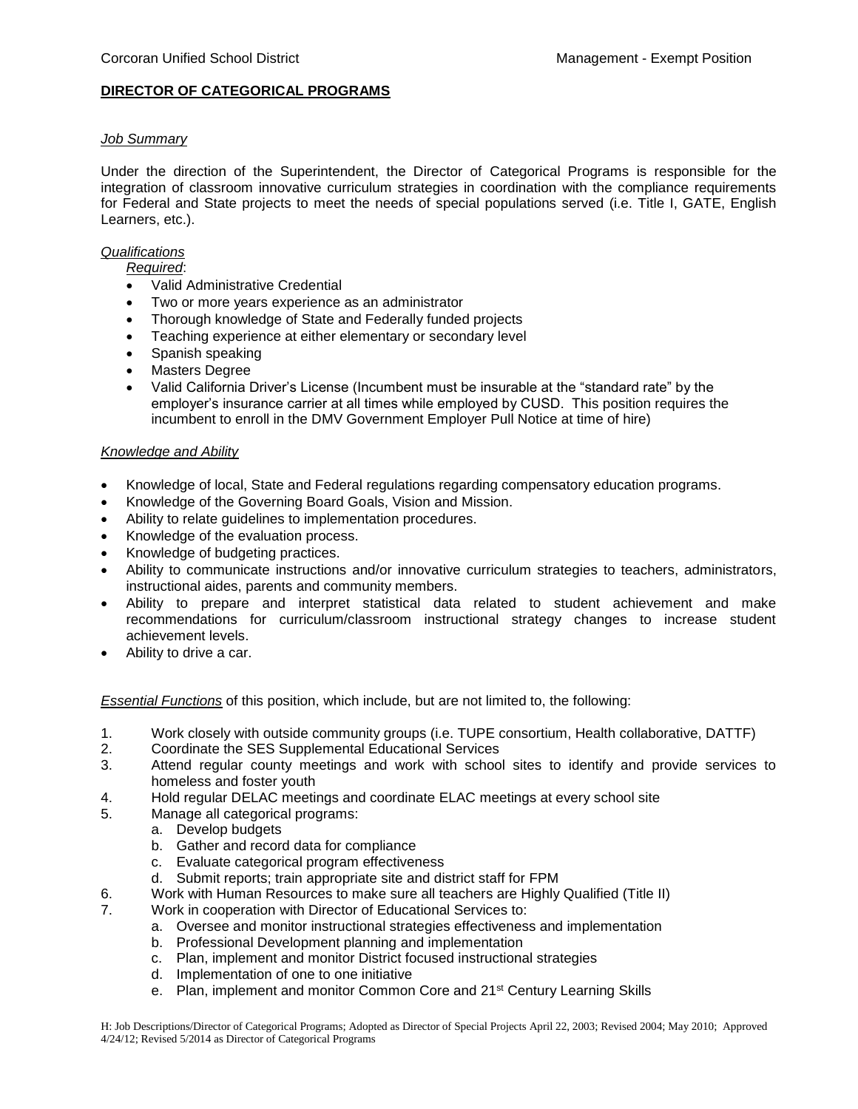# **DIRECTOR OF CATEGORICAL PROGRAMS**

# *Job Summary*

Under the direction of the Superintendent, the Director of Categorical Programs is responsible for the integration of classroom innovative curriculum strategies in coordination with the compliance requirements for Federal and State projects to meet the needs of special populations served (i.e. Title I, GATE, English Learners, etc.).

### *Qualifications*

*Required*:

- Valid Administrative Credential
- Two or more years experience as an administrator
- Thorough knowledge of State and Federally funded projects
- Teaching experience at either elementary or secondary level
- Spanish speaking
- Masters Degree
- Valid California Driver's License (Incumbent must be insurable at the "standard rate" by the employer's insurance carrier at all times while employed by CUSD. This position requires the incumbent to enroll in the DMV Government Employer Pull Notice at time of hire)

### *Knowledge and Ability*

- Knowledge of local, State and Federal regulations regarding compensatory education programs.
- Knowledge of the Governing Board Goals, Vision and Mission.
- Ability to relate guidelines to implementation procedures.
- Knowledge of the evaluation process.
- Knowledge of budgeting practices.
- Ability to communicate instructions and/or innovative curriculum strategies to teachers, administrators, instructional aides, parents and community members.
- Ability to prepare and interpret statistical data related to student achievement and make recommendations for curriculum/classroom instructional strategy changes to increase student achievement levels.
- Ability to drive a car.

*Essential Functions* of this position, which include, but are not limited to, the following:

- 1. Work closely with outside community groups (i.e. TUPE consortium, Health collaborative, DATTF)
- 2. Coordinate the SES Supplemental Educational Services
- 3. Attend regular county meetings and work with school sites to identify and provide services to homeless and foster youth
- 4. Hold regular DELAC meetings and coordinate ELAC meetings at every school site
- 5. Manage all categorical programs:
	- a. Develop budgets
	- b. Gather and record data for compliance
	- c. Evaluate categorical program effectiveness
	- d. Submit reports; train appropriate site and district staff for FPM
- 6. Work with Human Resources to make sure all teachers are Highly Qualified (Title II)
- 7. Work in cooperation with Director of Educational Services to:
	- a. Oversee and monitor instructional strategies effectiveness and implementation
	- b. Professional Development planning and implementation
	- c. Plan, implement and monitor District focused instructional strategies
	- d. Implementation of one to one initiative
	- e. Plan, implement and monitor Common Core and 21st Century Learning Skills